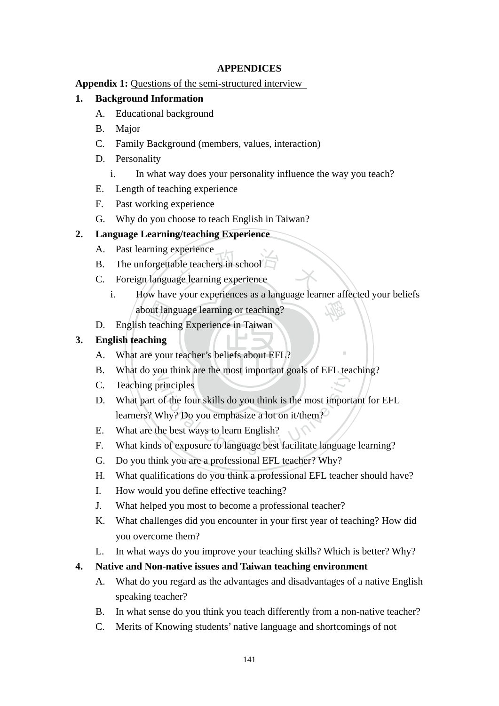## **APPENDICES**

## **Appendix 1:** Questions of the semi-structured interview

## **1. Background Information**

- A. Educational background
- B. Major
- C. Family Background (members, values, interaction)
- D. Personality
	- i. In what way does your personality influence the way you teach?
- E. Length of teaching experience
- F. Past working experience
- G. Why do you choose to teach English in Taiwan?

## **2. Language Learning/teaching Experience**

- A. Past learning experience
- B. The unforgettable teachers in school
- Experience<br>
ble teachers in school<br>
age learning experience C. Foreign language learning experience
- about language learning or teaching?<br>
D. English teaching Experience in Taiwan<br> **English teaching**<br>
A. What are your teacher's beliefs about EFL? 學 i. How have your experiences as a language learner affected your beliefs about language learning or teaching?

‧

D. English teaching Experience in Taiwan

## **3. English teaching**

- $\overline{\phantom{0}}$
- B. What do you think are the most important goals of EFL teaching?
- C. Teaching principles
- be a time are the most important goals of Er E tors<br>of the four skills do you think is the most import<br>Why? Do you emphasize a lot on it/them?<br>he best ways to learn English?<br>s of exposure to language best facilitate langua D. What part of the four skills do you think is the most important for EFL learners? Why? Do you emphasize a lot on it/them?
- E. What are the best ways to learn English?
- F. What kinds of exposure to language best facilitate language learning?
- G. Do you think you are a professional EFL teacher? Why?
- H. What qualifications do you think a professional EFL teacher should have?
- I. How would you define effective teaching?
- J. What helped you most to become a professional teacher?
- K. What challenges did you encounter in your first year of teaching? How did you overcome them?
- L. In what ways do you improve your teaching skills? Which is better? Why?

## **4. Native and Non-native issues and Taiwan teaching environment**

- A. What do you regard as the advantages and disadvantages of a native English speaking teacher?
- B. In what sense do you think you teach differently from a non-native teacher?
- C. Merits of Knowing students' native language and shortcomings of not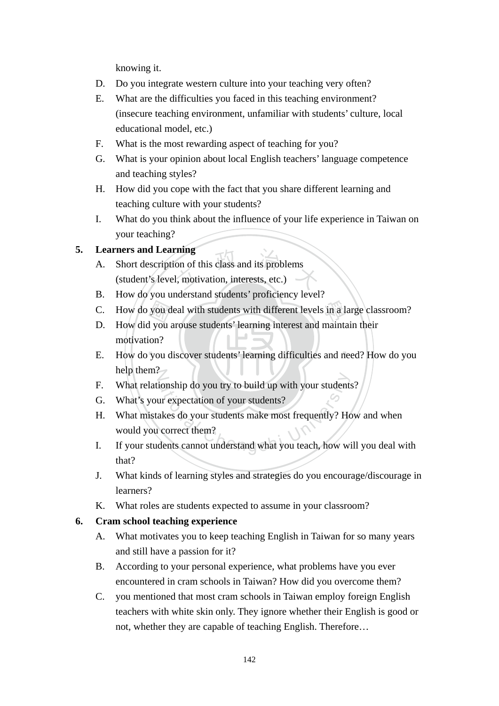knowing it.

- D. Do you integrate western culture into your teaching very often?
- E. What are the difficulties you faced in this teaching environment? (insecure teaching environment, unfamiliar with students' culture, local educational model, etc.)
- F. What is the most rewarding aspect of teaching for you?
- G. What is your opinion about local English teachers' language competence and teaching styles?
- H. How did you cope with the fact that you share different learning and teaching culture with your students?
- I. What do you think about the influence of your life experience in Taiwan on your teaching?

## **5. Learners and Learning**

- rning<br>on of this class and its problems<br>1, motivation, interests, etc.) A. Short description of this class and its problems (student's level, motivation, interests, etc.)
- B. How do you understand students' proficiency level?
- 
- C. How do you deal with students with different levels in a large classroom?<br>
D. How did you arouse students' learning interest and maintain their<br>
motivation?<br>
E. How do you discover students' learning difficulties and ne D. How did you arouse students' learning interest and maintain their motivation?
- E. How do you discover students' learning difficulties and need? How do you help them?
- F. What relationship do you try to build up with your students?
- G. What's your expectation of your students?
- F. What relationship do you try to build up with your students?<br>
G. What's your expectation of your students?<br>
H. What mistakes do your students make most frequently? How and when<br>
would you correct them?<br>
I. If your stude H. What mistakes do your students make most frequently? How and when would you correct them?
- that?
- J. What kinds of learning styles and strategies do you encourage/discourage in learners?
- K. What roles are students expected to assume in your classroom?

### **6. Cram school teaching experience**

- A. What motivates you to keep teaching English in Taiwan for so many years and still have a passion for it?
- B. According to your personal experience, what problems have you ever encountered in cram schools in Taiwan? How did you overcome them?
- C. you mentioned that most cram schools in Taiwan employ foreign English teachers with white skin only. They ignore whether their English is good or not, whether they are capable of teaching English. Therefore…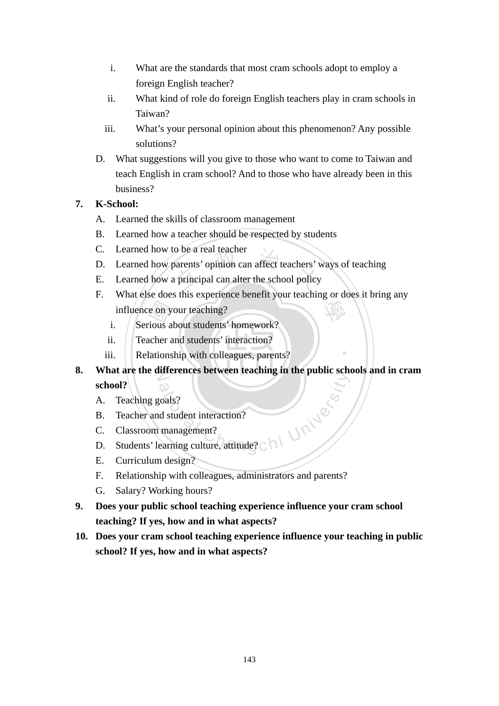- i. What are the standards that most cram schools adopt to employ a foreign English teacher?
- ii. What kind of role do foreign English teachers play in cram schools in Taiwan?
- iii. What's your personal opinion about this phenomenon? Any possible solutions?
- D. What suggestions will you give to those who want to come to Taiwan and teach English in cram school? And to those who have already been in this business?

## **7. K-School:**

- A. Learned the skills of classroom management
- B. Learned how a teacher should be respected by students
- C. Learned how to be a real teacher
- o be a real teacher<br>parents' opinion can affect teachers' v<br>principal can alter the school policy D. Learned how parents' opinion can affect teachers' ways of teaching
- E. Learned how a principal can alter the school policy
- e on y<br>ious a<br>acher a<br>lations 學 F. What else does this experience benefit your teaching or does it bring any influence on your teaching?
	- i. Serious about students' homework?
	- ii. Teacher and students' interaction?
	- iii. Relationship with colleagues, parents?
- N **8. What are the differences between teaching in the public schools and in cram**  Frances Sechreti Edentity in the plastic Sechretical Chengchi University<br>distribution of the management?<br>earning culture, attitude? Chi **school?**

‧

- A. Teaching goals?
- B. Teacher and student interaction?
- C. Classroom management?
- D. Students' learning culture, attitude?
- E. Curriculum design?
- F. Relationship with colleagues, administrators and parents?
- G. Salary? Working hours?
- **9. Does your public school teaching experience influence your cram school teaching? If yes, how and in what aspects?**
- **10. Does your cram school teaching experience influence your teaching in public school? If yes, how and in what aspects?**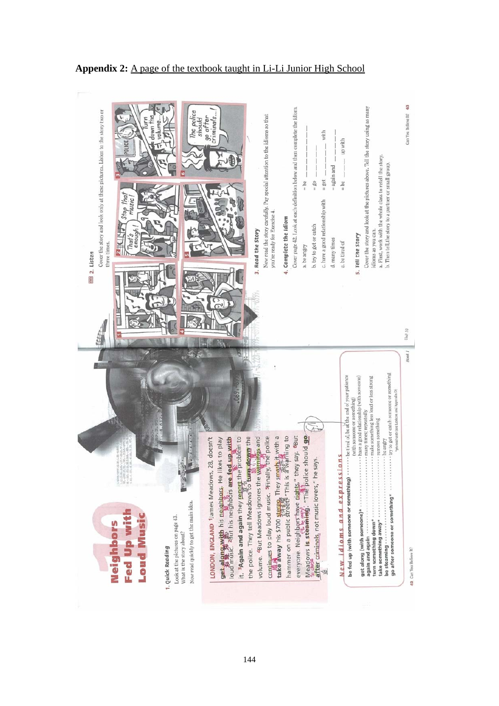

#### **Appendix 2:** A page of the textbook taught in Li-Li Junior High School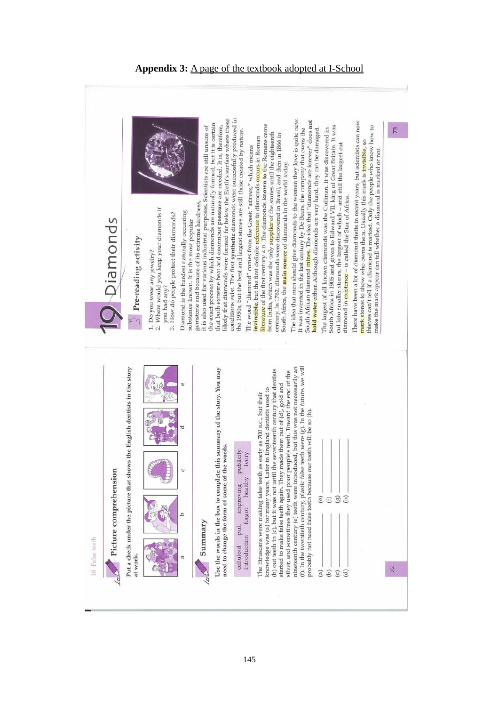

#### **Appendix 3:** A page of the textbook adopted at I-School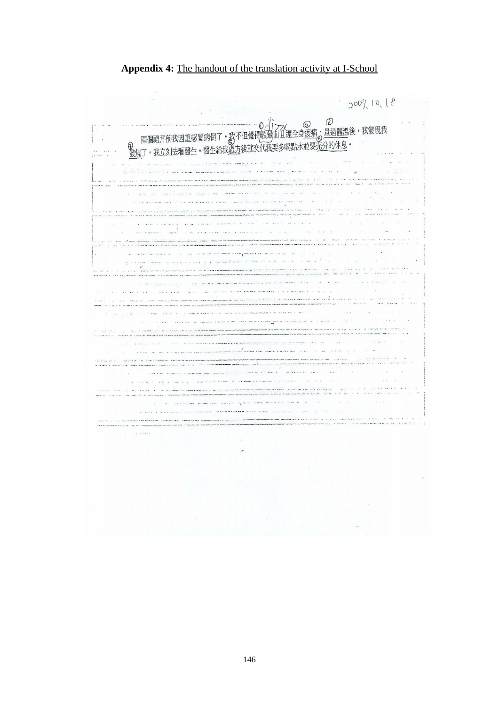#### **Appendix 4:** The handout of the translation activity at I-School

 $2007, 10, 18$  $\mathcal{D}$  $\hat{O}$  $\circledcirc$ 。<br><u>。量過體溫</u>後,我發現我  $\mathcal{A}$  $x = \pi x$ .<br>Andrew Arthur Andrew Constitution (1980)<br>Andrew Arthur Honorator (1980), Arthur Constitution .<br>Andrea la mari Anna anche che in in- $\tilde{\alpha}$  $\mathcal{N}_{\mathcal{S}}$ a consideration and consideration  $\label{eq:2.1} \mathcal{L} \mathcal{L} \left( \left[ \mathcal{L} \mathcal{L} \right] \right) = \mathcal{L} \left( \mathcal{L} \right) = \mathcal{L} \left( \mathcal{L} \right) = \mathcal{L} \left( \mathcal{L} \right) = \mathcal{L} \left( \mathcal{L} \right) = \mathcal{L} \left( \mathcal{L} \right) = \mathcal{L} \left( \mathcal{L} \right) = \mathcal{L} \left( \mathcal{L} \right) = \mathcal{L} \left( \mathcal{L} \right) = \mathcal{L} \left( \mathcal{L} \right) = \mathcal$  $\label{eq:3.1} \begin{split} \text{and} \quad \text{for some} \; \mathcal{M}_\text{g}(\text{and}\; \mathcal{M}_\text{g}) = \mathcal{M} \quad \text{and} \quad \mathcal{M} = \mathcal{M} \; \text{and} \quad \mathcal{M} = \mathcal{M} \; \text{and} \; \mathcal{M} = \mathcal{M} \; \text{and} \; \mathcal{M} = \mathcal{M} \; \text{and} \; \mathcal{M} = \mathcal{M} \; \text{and} \; \mathcal{M} = \mathcal{M} \; \text{and} \; \mathcal{M} = \mathcal{M} \;$ .<br>An a brailte i a corra i<br>Corradoremento y corra  $\begin{bmatrix} 1 & 1 & 1 \\ 1 & 1 & 1 \\ 1 & 1 & 1 \end{bmatrix}$  $\mathbf{v}$  .  $\mathbf{v}$  is a second to the second to the second to the second to the second to the second to the second to the second to the second to the second to the second to the second to the second to the second to the  $\sim$  100 l<br>La conseil estado (1967)<br>La conseil de Conseil (1968) .<br>Katalungan di pada katalung lain terbahan pada katalungan di panahan katalung katalung lain terbahan pada kata<br>Katalungan di panahan katalung katalung lain terbahan pada katalung pada katalung di panahan pada katalung pa ina.<br>Tana <sup>立</sup> <sup>政</sup> <sup>治</sup> <sup>大</sup>  $\overline{\mathcal{M}}$ 學 國 .<br>Andrama med med angleme mengede et som encerte et a social et al. 1990 i 1990 et al. 1990 et al. 1990 et al. 1<br>Anglementaliguet transformer strem complex constructions and a construction and a construction and a stress o ‧  $\hat{a}$  is  $\hat{a}$ ‧ $\alpha$  , and  $\alpha$  $\alpha=\infty$ n - Communication and the Communication<br>North State Communication and the Communication and the Communication and the Communication and the Communication <sup>a</sup>t<sup>i</sup>ona<sup>l</sup> <sup>C</sup>hengch<sup>i</sup> <sup>U</sup>nivers<sup>i</sup>t<sup>y</sup>  $\mathbb{R}^n$  and  $\mathbb{R}^n$  $\label{eq:3} \begin{split} \widetilde{\mathcal{H}}_{\text{c}}&=\sqrt{2\sqrt{2}+2} \left( \widetilde{\mathcal{H}}_{\text{c}}\left(\widetilde{\mathcal{H}}_{\text{c}}\right) \widetilde{\mathcal{H}}_{\text{c}}\right) \widetilde{\mathcal{H}}_{\text{c}}\left(\widetilde{\mathcal{H}}_{\text{c}}\right) \widetilde{\mathcal{H}}_{\text{c}}\left(\widetilde{\mathcal{H}}_{\text{c}}\right) \widetilde{\mathcal{H}}_{\text{c}}\left(\widetilde{\mathcal{H}}_{\text{c}}\right) \widetilde{\mathcal{H$  $\sim$  $\alpha=-\alpha$  , as increased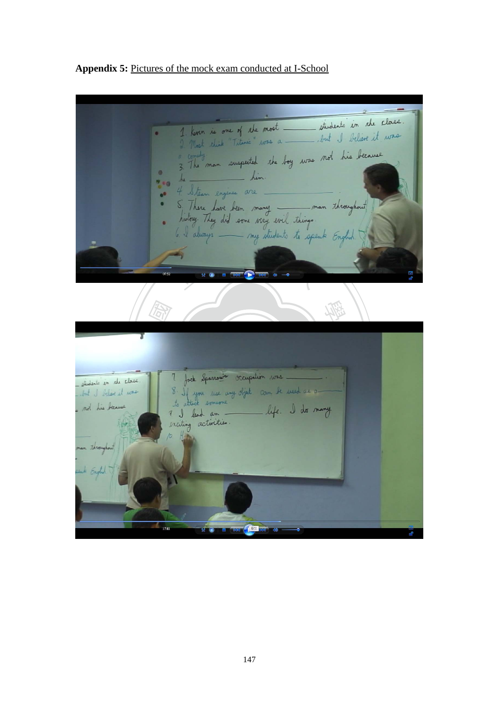students in the class. 1. Kovin is one of the most budens in sur 2. North edick "Titeric" was amake man suspected the boy was not his because  $\bullet$ him. 7.0 4. Steam engines are. S. There have been many \_\_\_\_\_ man throughout my students to speak Engl <sup>立</sup> <sup>政</sup> <sup>治</sup> <sup>大</sup> 學 國  $\mathsf{r}$ <sup>a</sup>t<sup>i</sup>ona<sup>l</sup> <sup>C</sup>hengch<sup>i</sup> <sup>U</sup>nivers<sup>i</sup>t<sup>y</sup> students in the close but I believe it was not his because Througho

**Appendix 5:** Pictures of the mock exam conducted at I-School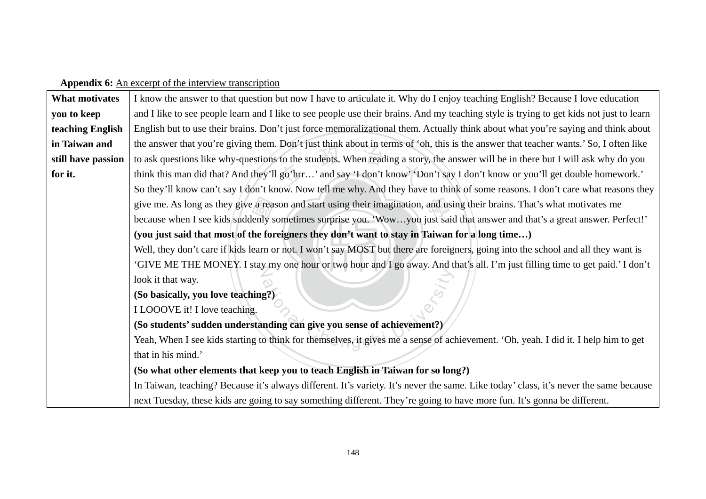## Appendix 6: An excerpt of the interview transcription

| <b>What motivates</b> | I know the answer to that question but now I have to articulate it. Why do I enjoy teaching English? Because I love education           |  |  |  |
|-----------------------|-----------------------------------------------------------------------------------------------------------------------------------------|--|--|--|
| you to keep           | and I like to see people learn and I like to see people use their brains. And my teaching style is trying to get kids not just to learn |  |  |  |
| teaching English      | English but to use their brains. Don't just force memoralizational them. Actually think about what you're saying and think about        |  |  |  |
| in Taiwan and         | the answer that you're giving them. Don't just think about in terms of 'oh, this is the answer that teacher wants.' So, I often like    |  |  |  |
| still have passion    | to ask questions like why-questions to the students. When reading a story, the answer will be in there but I will ask why do you        |  |  |  |
| for it.               | think this man did that? And they'll go'hrr' and say 'I don't know' 'Don't say I don't know or you'll get double homework.'             |  |  |  |
|                       | So they'll know can't say I don't know. Now tell me why. And they have to think of some reasons. I don't care what reasons they         |  |  |  |
|                       | give me. As long as they give a reason and start using their imagination, and using their brains. That's what motivates me              |  |  |  |
|                       | because when I see kids suddenly sometimes surprise you. 'Wowyou just said that answer and that's a great answer. Perfect!'             |  |  |  |
|                       | (you just said that most of the foreigners they don't want to stay in Taiwan for a long time)                                           |  |  |  |
|                       | Well, they don't care if kids learn or not. I won't say MOST but there are foreigners, going into the school and all they want is       |  |  |  |
|                       | 'GIVE ME THE MONEY. I stay my one hour or two hour and I go away. And that's all. I'm just filling time to get paid.' I don't           |  |  |  |
|                       | look it that way.                                                                                                                       |  |  |  |
|                       | (So basically, you love teaching?)                                                                                                      |  |  |  |
|                       | I LOOOVE it! I love teaching.                                                                                                           |  |  |  |
|                       | (So students' sudden understanding can give you sense of achievement?)                                                                  |  |  |  |
|                       | Yeah, When I see kids starting to think for themselves, it gives me a sense of achievement. 'Oh, yeah. I did it. I help him to get      |  |  |  |
|                       | that in his mind.'                                                                                                                      |  |  |  |
|                       | (So what other elements that keep you to teach English in Taiwan for so long?)                                                          |  |  |  |
|                       | In Taiwan, teaching? Because it's always different. It's variety. It's never the same. Like today' class, it's never the same because   |  |  |  |
|                       | next Tuesday, these kids are going to say something different. They're going to have more fun. It's gonna be different.                 |  |  |  |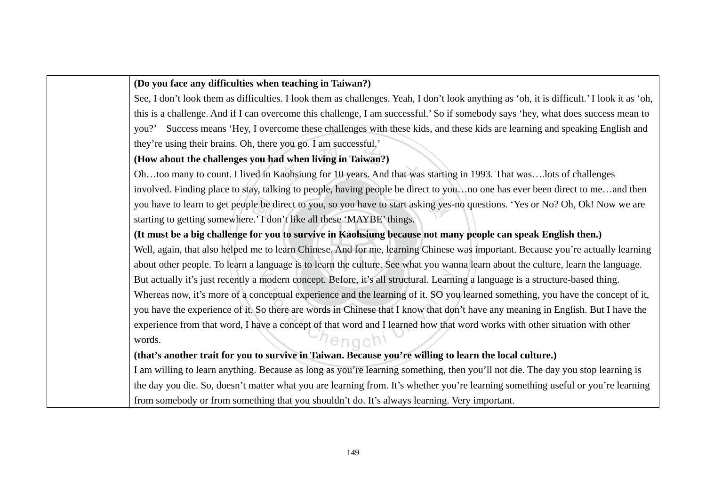#### **(Do you face any difficulties when teaching in Taiwan?)**

See, I don't look them as difficulties. I look them as challenges. Yeah, I don't look anything as 'oh, it is difficult.' I look it as 'oh, this is a challenge. And if I can overcome this challenge, I am successful.' So if somebody says 'hey, what does success mean to you?' Success means 'Hey, I overcome these challenges with these kids, and these kids are learning and speaking English and they're using their brains. Oh, there you go. I am successful.'

# 政 治 **(How about the challenges you had when living in Taiwan?)**

le be d<br>: 'I do<br>f**or yo**<br>me to Kaohsiung for 10 years. And that was you have to learn to get people be direct to you, so you have to start asking yes-no questions. 'Yes or No? Oh, Ok! Now we are<br>starting to getting somewhere 'I don't like all these 'MAYRE' things Oh…too many to count. I lived in Kaohsiung for 10 years. And that was starting in 1993. That was….lots of challenges involved. Finding place to stay, talking to people, having people be direct to you…no one has ever been direct to me…and then starting to getting somewhere.' I don't like all these 'MAYBE' things.

#### **(It must be a big challenge for you to survive in Kaohsiung because not many people can speak English then.)**

Well, again, that also helped me to learn Chinese. And for me, learning Chinese was important. Because you're actually learning about other people. To learn a language is to learn the culture. See what you wanna learn about the culture, learn the language. modern cor<br>iceptual ex<br>o there are<br>ve a concer  $\bigcirc$  that ngchi Find Searn Extructural. Learn<br>
Learn University of I know that does<br>
the same of how that But actually it's just recently a modern concept. Before, it's all structural. Learning a language is a structure-based thing. Whereas now, it's more of a conceptual experience and the learning of it. SO you learned something, you have the concept of it, you have the experience of it. So there are words in Chinese that I know that don't have any meaning in English. But I have the experience from that word, I have a concept of that word and I learned how that word works with other situation with other words.

#### **(that's another trait for you to survive in Taiwan. Because you're willing to learn the local culture.)**

I am willing to learn anything. Because as long as you're learning something, then you'll not die. The day you stop learning is the day you die. So, doesn't matter what you are learning from. It's whether you're learning something useful or you're learning from somebody or from something that you shouldn't do. It's always learning. Very important.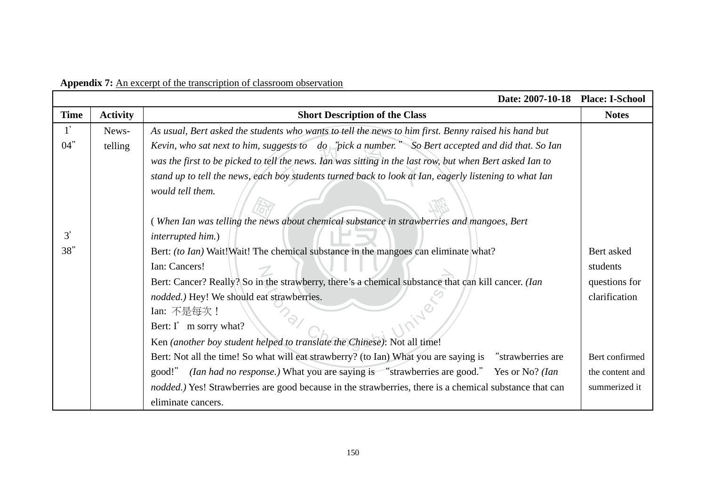|                 |                 | Date: 2007-10-18                                                                                         | <b>Place: I-School</b> |
|-----------------|-----------------|----------------------------------------------------------------------------------------------------------|------------------------|
| <b>Time</b>     | <b>Activity</b> | <b>Short Description of the Class</b>                                                                    | <b>Notes</b>           |
| 1'              | News-           | As usual, Bert asked the students who wants to tell the news to him first. Benny raised his hand but     |                        |
| 04"             | telling         | Kevin, who sat next to him, suggests to do "pick a number." So Bert accepted and did that. So Ian        |                        |
|                 |                 | was the first to be picked to tell the news. Ian was sitting in the last row, but when Bert asked Ian to |                        |
|                 |                 | stand up to tell the news, each boy students turned back to look at Ian, eagerly listening to what Ian   |                        |
|                 |                 | would tell them.                                                                                         |                        |
|                 |                 |                                                                                                          |                        |
|                 |                 | (When Ian was telling the news about chemical substance in strawberries and mangoes, Bert                |                        |
| $\mathfrak{Z}'$ |                 | interrupted him.)                                                                                        |                        |
| 38"             |                 | Bert: (to Ian) Wait! Wait! The chemical substance in the mangoes can eliminate what?                     | Bert asked             |
|                 |                 | Ian: Cancers!                                                                                            | students               |
|                 |                 | Bert: Cancer? Really? So in the strawberry, there's a chemical substance that can kill cancer. (Ian      | questions for          |
|                 |                 | nodded.) Hey! We should eat strawberries.                                                                | clarification          |
|                 |                 | Ian: 不是每次!                                                                                               |                        |
|                 |                 | Bert: I' m sorry what?                                                                                   |                        |
|                 |                 | Ken (another boy student helped to translate the Chinese): Not all time!                                 |                        |
|                 |                 | Bert: Not all the time! So what will eat strawberry? (to Ian) What you are saying is "strawberries are   | Bert confirmed         |
|                 |                 | (Ian had no response.) What you are saying is "strawberries are good." Yes or No? (Ian<br>good!"         | the content and        |
|                 |                 | nodded.) Yes! Strawberries are good because in the strawberries, there is a chemical substance that can  | summerized it          |
|                 |                 | eliminate cancers.                                                                                       |                        |

**Appendix 7:** An excerpt of the transcription of classroom observation